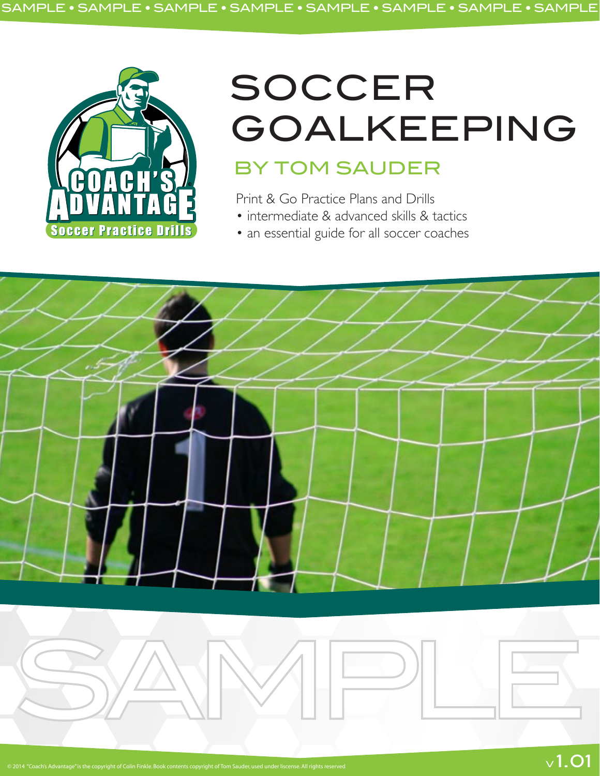

# SOCCER GOALKEEPING BY TOM SAUDER

 $\vee$  1.01

Print & Go Practice Plans and Drills

- intermediate & advanced skills & tactics
- an essential guide for all soccer coaches

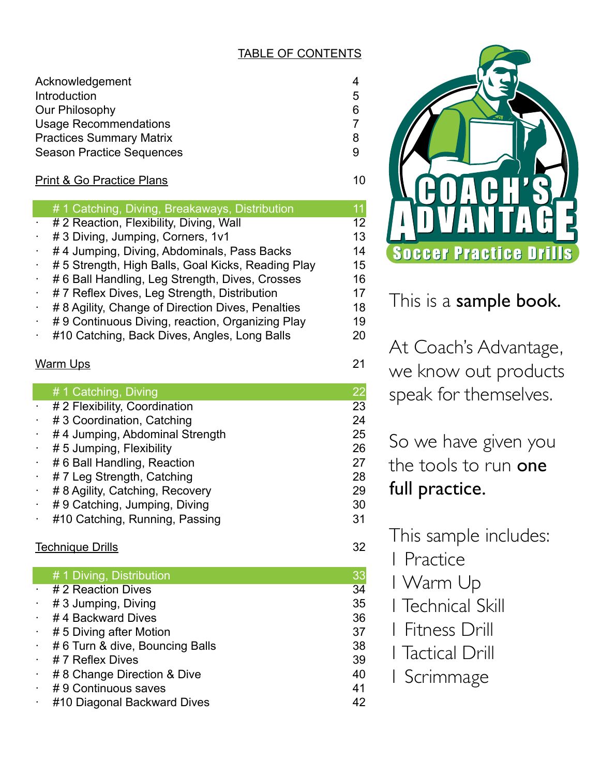## TABLE OF CONTENTS

| Acknowledgement<br>Introduction                                                                     | 5      |
|-----------------------------------------------------------------------------------------------------|--------|
| Our Philosophy                                                                                      | 6      |
| <b>Usage Recommendations</b><br><b>Practices Summary Matrix</b><br><b>Season Practice Sequences</b> | 8<br>9 |
| <b>Print &amp; Go Practice Plans</b>                                                                | 10     |
| 44 Catabina, Divina, Draakowaya, Distribution                                                       |        |

- # 1 Catching, Diving, Breakaways, Distribution 11 # 2 Reaction, Flexibility, Diving, Wall 12
- # 3 Diving, Jumping, Corners, 1v1 13
- #4 Jumping, Diving, Abdominals, Pass Backs 14
- # 5 Strength, High Balls, Goal Kicks, Reading Play 15
- #6 Ball Handling, Leg Strength, Dives, Crosses 16
- # 7 Reflex Dives, Leg Strength, Distribution 17
- # 8 Agility, Change of Direction Dives, Penalties 18
- #9 Continuous Diving, reaction, Organizing Play 19
- #10 Catching, Back Dives, Angles, Long Balls 20

## Warm Ups 21

## # 1 Catching, Diving 22<br>
# 2 Flexibility Coordination 23

- # 2 Flexibility, Coordination
- # 3 Coordination, Catching 24
- #4 Jumping, Abdominal Strength 25
- · # 5 Jumping, Flexibility 26
- # 6 Ball Handling, Reaction 27
- # 7 Leg Strength, Catching 28
- # 8 Agility, Catching, Recovery 29
- # 9 Catching, Jumping, Diving 30
- #10 Catching, Running, Passing 31

## Technique Drills 32

### # 1 Diving, Distribution 33

- # 2 Reaction Dives 34
- # 3 Jumping, Diving 35
- #4 Backward Dives 36
- #5 Diving after Motion 37
- # 6 Turn & dive, Bouncing Balls 38
- · # 7 Reflex Dives 39
- # 8 Change Direction & Dive 40
- #9 Continuous saves 41
- #10 Diagonal Backward Dives 42



This is a **sample book.** 

At Coach's Advantage, we know out products speak for themselves.

So we have given you the tools to run one full practice.

This sample includes:

- 1 Practice
- 1 Warm Up
- 1 Technical Skill
- 1 Fitness Drill
- 1 Tactical Drill
- 1 Scrimmage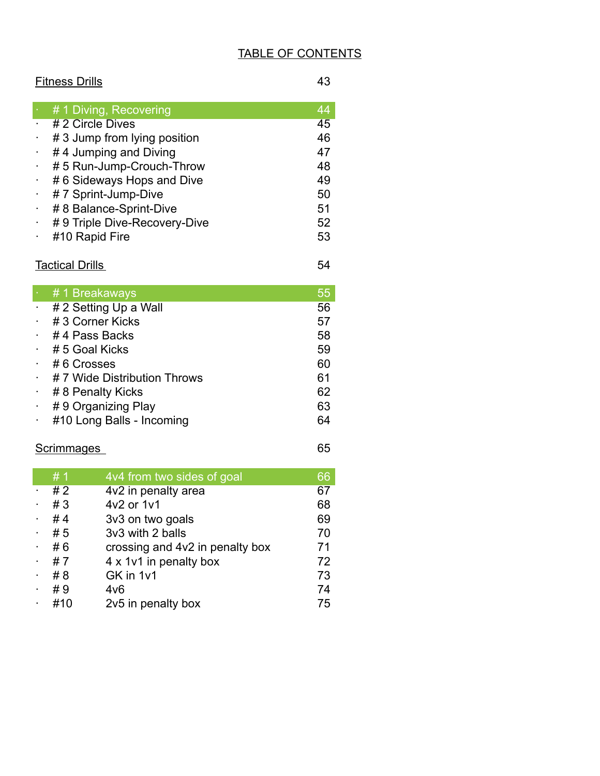## TABLE OF CONTENTS

## Fitness Drills 43

| # 1 Diving, Recovering       | 44 |
|------------------------------|----|
| # 2 Circle Dives             | 45 |
| # 3 Jump from lying position | 46 |
| #4 Jumping and Diving        | 47 |
| #5 Run-Jump-Crouch-Throw     | 48 |
| #6 Sideways Hops and Dive    | 49 |
| # 7 Sprint-Jump-Dive         | 50 |
| # 8 Balance-Sprint-Dive      | 51 |
| #9 Triple Dive-Recovery-Dive | 52 |
| #10 Rapid Fire               | 53 |
|                              |    |

## **Tactical Drills** 54

| $\cdot$ #1 Breakaways         | 55 |
|-------------------------------|----|
| $\cdot$ # 2 Setting Up a Wall | 56 |
| $\cdot$ # 3 Corner Kicks      | 57 |
| $\cdot$ #4 Pass Backs         | 58 |
| $\div$ # 5 Goal Kicks         | 59 |
| $\cdot$ #6 Crosses            | 60 |
| #7 Wide Distribution Throws   | 61 |
| # 8 Penalty Kicks             | 62 |
| #9 Organizing Play            | 63 |
| #10 Long Balls - Incoming     | 64 |

## Scrimmages 65

|           | #1  | 4v4 from two sides of goal      | 66 |
|-----------|-----|---------------------------------|----|
| $\bullet$ | #2  | 4v2 in penalty area             | 67 |
|           | #3  | 4v2 or 1v1                      | 68 |
|           | #4  | 3v3 on two goals                | 69 |
|           | #5  | 3v3 with 2 balls                | 70 |
|           | #6  | crossing and 4v2 in penalty box | 71 |
|           | #7  | 4 x 1v1 in penalty box          | 72 |
|           | #8  | GK in 1v1                       | 73 |
|           | #9  | 4v6                             | 74 |
|           | #10 | 2v5 in penalty box              | 75 |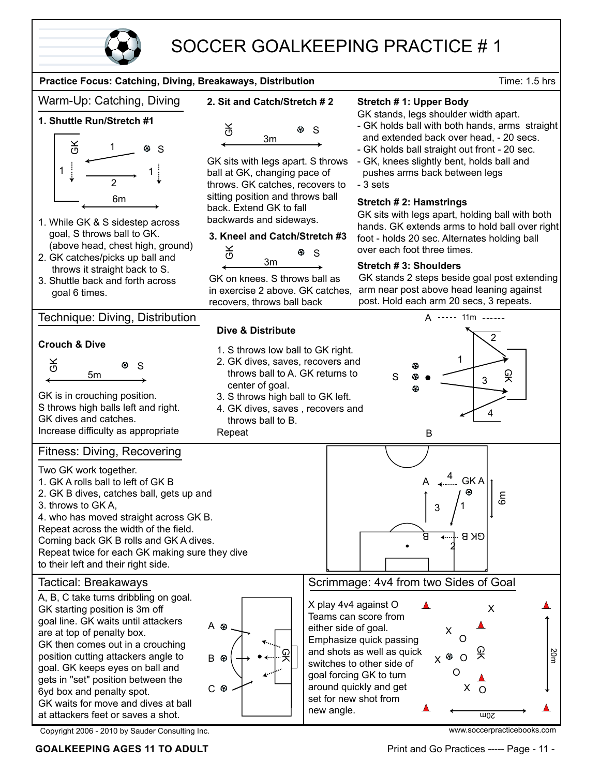

## SOCCER GOALKEEPING PRACTICE # 1

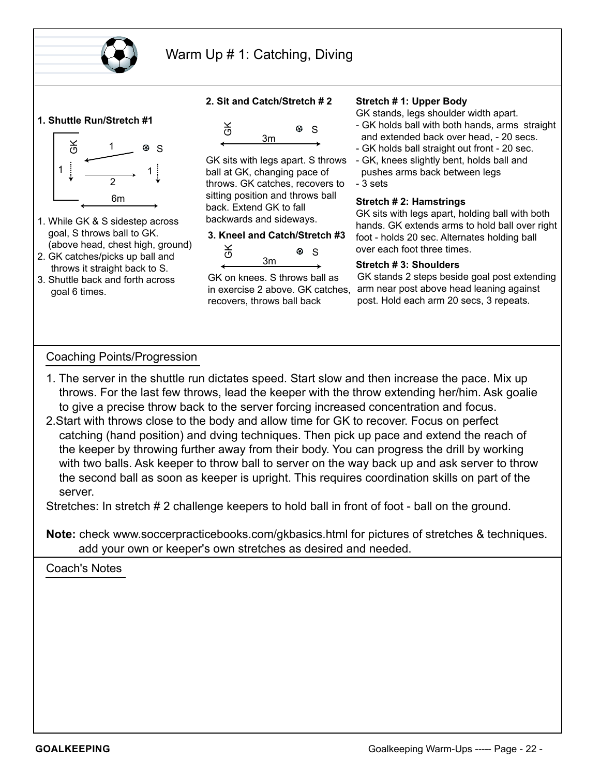

## Warm Up # 1: Catching, Diving

#### **1. Shuttle Run/Stretch #1**



- 1. While GK & S sidestep across goal, S throws ball to GK. (above head, chest high, ground)
- 2. GK catches/picks up ball and throws it straight back to S.
- 3. Shuttle back and forth across goal 6 times.

#### **2. Sit and Catch/Stretch # 2**



GK sits with legs apart. S throws ball at GK, changing pace of throws. GK catches, recovers to sitting position and throws ball back. Extend GK to fall backwards and sideways.

#### **3. Kneel and Catch/Stretch #3**



GK on knees. S throws ball as in exercise 2 above. GK catches, recovers, throws ball back

#### **Stretch # 1: Upper Body**

GK stands, legs shoulder width apart.

- GK holds ball with both hands, arms straight and extended back over head, - 20 secs.
- GK holds ball straight out front 20 sec.
- GK, knees slightly bent, holds ball and pushes arms back between legs
- 3 sets

#### **Stretch # 2: Hamstrings**

GK sits with legs apart, holding ball with both hands. GK extends arms to hold ball over right foot - holds 20 sec. Alternates holding ball over each foot three times.

#### **Stretch # 3: Shoulders**

GK stands 2 steps beside goal post extending arm near post above head leaning against post. Hold each arm 20 secs, 3 repeats.

#### Coaching Points/Progression

- 1. The server in the shuttle run dictates speed. Start slow and then increase the pace. Mix up throws. For the last few throws, lead the keeper with the throw extending her/him. Ask goalie to give a precise throw back to the server forcing increased concentration and focus.
- 2.Start with throws close to the body and allow time for GK to recover. Focus on perfect catching (hand position) and dving techniques. Then pick up pace and extend the reach of the keeper by throwing further away from their body. You can progress the drill by working with two balls. Ask keeper to throw ball to server on the way back up and ask server to throw the second ball as soon as keeper is upright. This requires coordination skills on part of the server.

Stretches: In stretch # 2 challenge keepers to hold ball in front of foot - ball on the ground.

**Note:** check www.soccerpracticebooks.com/gkbasics.html for pictures of stretches & techniques. add your own or keeper's own stretches as desired and needed.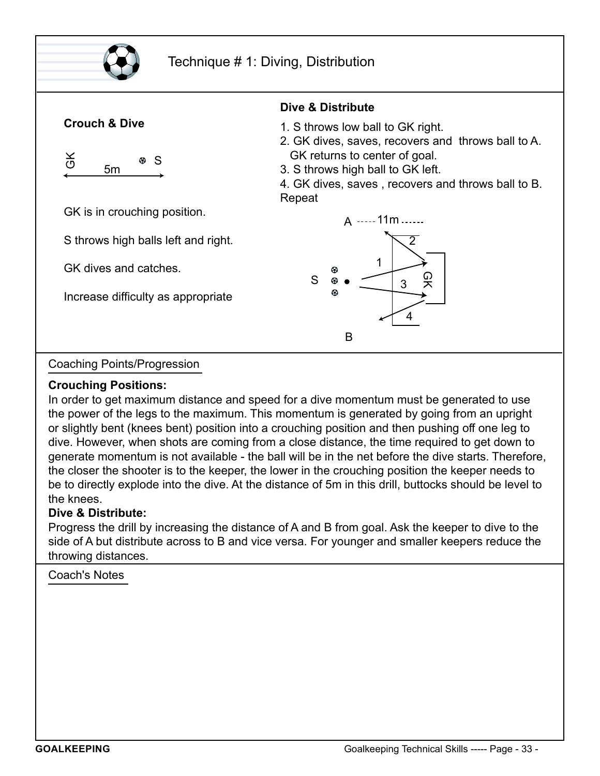

## Technique # 1: Diving, Distribution



Coaching Points/Progression

#### **Crouching Positions:**

In order to get maximum distance and speed for a dive momentum must be generated to use the power of the legs to the maximum. This momentum is generated by going from an upright or slightly bent (knees bent) position into a crouching position and then pushing off one leg to dive. However, when shots are coming from a close distance, the time required to get down to generate momentum is not available - the ball will be in the net before the dive starts. Therefore, the closer the shooter is to the keeper, the lower in the crouching position the keeper needs to be to directly explode into the dive. At the distance of 5m in this drill, buttocks should be level to the knees.

## **Dive & Distribute:**

Progress the drill by increasing the distance of A and B from goal. Ask the keeper to dive to the side of A but distribute across to B and vice versa. For younger and smaller keepers reduce the throwing distances.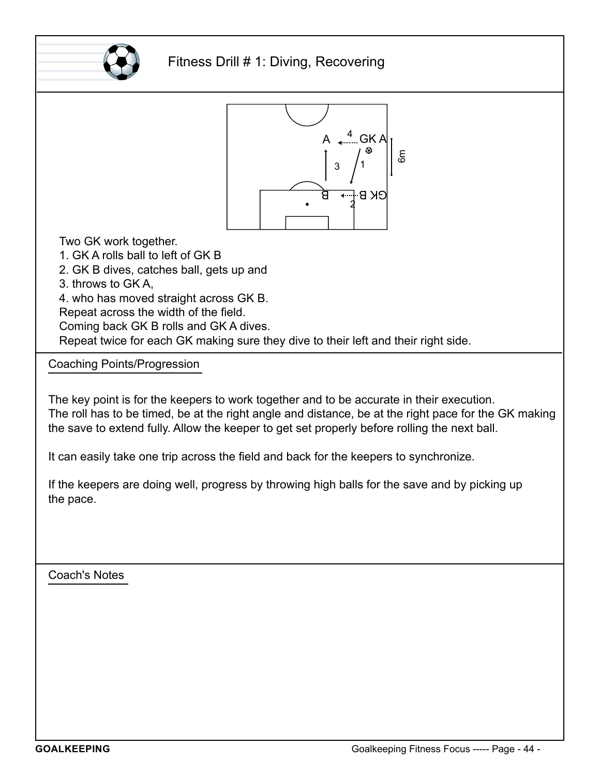

## Fitness Drill # 1: Diving, Recovering



Two GK work together.

1. GK A rolls ball to left of GK B

2. GK B dives, catches ball, gets up and

3. throws to GK A,

4. who has moved straight across GK B.

Repeat across the width of the field.

Coming back GK B rolls and GK A dives.

Repeat twice for each GK making sure they dive to their left and their right side.

Coaching Points/Progression

The key point is for the keepers to work together and to be accurate in their execution. The roll has to be timed, be at the right angle and distance, be at the right pace for the GK making the save to extend fully. Allow the keeper to get set properly before rolling the next ball.

It can easily take one trip across the field and back for the keepers to synchronize.

If the keepers are doing well, progress by throwing high balls for the save and by picking up the pace.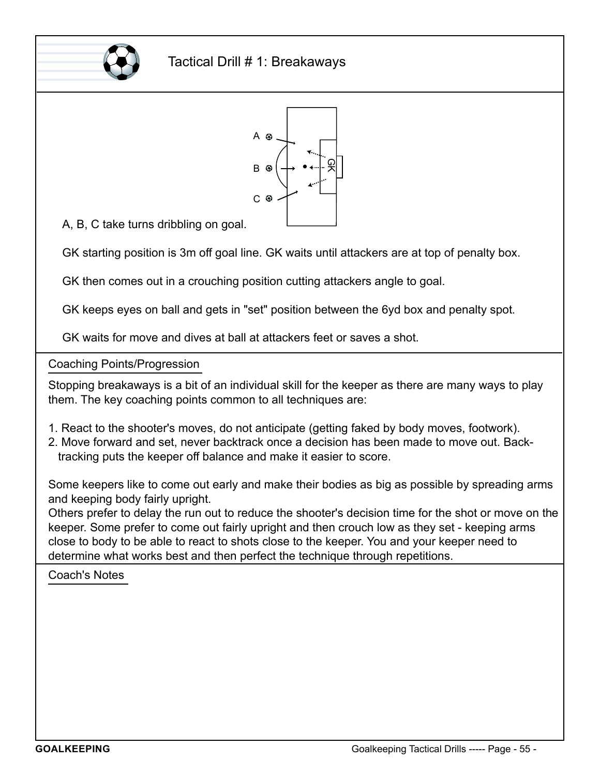



A, B, C take turns dribbling on goal.

GK starting position is 3m off goal line. GK waits until attackers are at top of penalty box.

GK then comes out in a crouching position cutting attackers angle to goal.

GK keeps eyes on ball and gets in "set" position between the 6yd box and penalty spot.

Coaching Points/Progression

Stopping breakaways is a bit of an individual skill for the keeper as there are many ways to play them. The key coaching points common to all techniques are:

- 1. React to the shooter's moves, do not anticipate (getting faked by body moves, footwork).
- 2. Move forward and set, never backtrack once a decision has been made to move out. Back tracking puts the keeper off balance and make it easier to score.

Some keepers like to come out early and make their bodies as big as possible by spreading arms and keeping body fairly upright.

Others prefer to delay the run out to reduce the shooter's decision time for the shot or move on the keeper. Some prefer to come out fairly upright and then crouch low as they set - keeping arms close to body to be able to react to shots close to the keeper. You and your keeper need to determine what works best and then perfect the technique through repetitions.